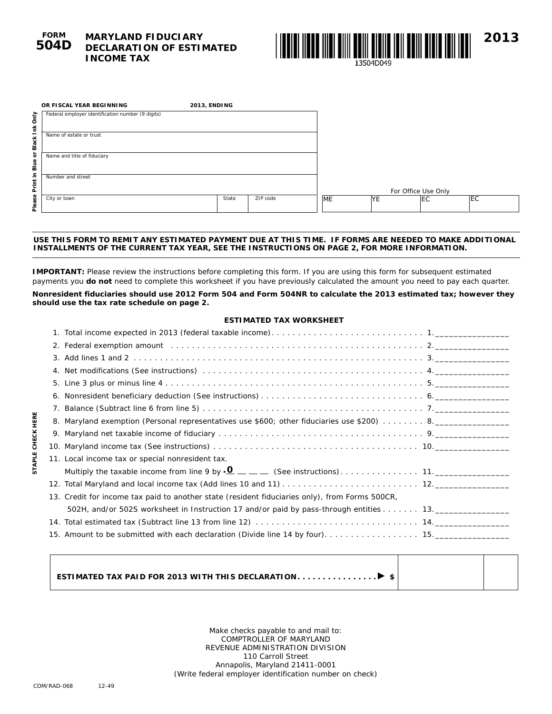# **MARYLAND FIDUCIARY DECLARATION OF ESTIMATED INCOME TAX**



| OR FISCAL YEAR BEGINNING                                                                                                                                                                                                                                            | 2013, ENDING |          |           |           |                     |     |
|---------------------------------------------------------------------------------------------------------------------------------------------------------------------------------------------------------------------------------------------------------------------|--------------|----------|-----------|-----------|---------------------|-----|
| Federal employer identification number (9 digits)                                                                                                                                                                                                                   |              |          |           |           |                     |     |
| Name of estate or trust                                                                                                                                                                                                                                             |              |          |           |           |                     |     |
| Name and title of fiduciary                                                                                                                                                                                                                                         |              |          |           |           |                     |     |
| Number and street                                                                                                                                                                                                                                                   |              |          |           |           |                     |     |
|                                                                                                                                                                                                                                                                     |              |          |           |           | For Office Use Only |     |
| City or town                                                                                                                                                                                                                                                        | State        | ZIP code | <b>ME</b> | <b>YE</b> | <b>IEC</b>          | ΙEC |
|                                                                                                                                                                                                                                                                     |              |          |           |           |                     |     |
| USE THIS FORM TO REMIT ANY ESTIMATED PAYMENT DUE AT THIS TIME. IF FORMS ARE NEEDED TO MAKE ADDITIONAL<br><b>INSTALLMENTS OF THE CURRENT TAX YEAR, SEE THE INSTRUCTIONS ON PAGE 2, FOR MORE INFORMATION.</b>                                                         |              |          |           |           |                     |     |
| IMPORTANT: Please review the instructions before completing this form. If you are using this form for subsequent estimated<br>payments you <b>do not</b> need to complete this worksheet if you have previously calculated the amount you need to pay each quarter. |              |          |           |           |                     |     |
| Nonresident fiduciaries should use 2012 Form 504 and Form 504NR to calculate the 2013 estimated tax; however they<br>should use the tax rate schedule on page 2.                                                                                                    |              |          |           |           |                     |     |

### **USE THIS FORM TO REMIT ANY ESTIMATED PAYMENT DUE AT THIS TIME. IF FORMS ARE NEEDED TO MAKE ADDITIONAL INSTALLMENTS OF THE CURRENT TAX YEAR, SEE THE INSTRUCTIONS ON PAGE 2, FOR MORE INFORMATION.**

**Nonresident fiduciaries should use 2012 Form 504 and Form 504NR to calculate the 2013 estimated tax; however they** 

## **ESTIMATED TAX WORKSHEET**

| Net modifications (See instructions) we are assumed to the control of the control of the control of the control of the control of the control of the control of the control of the control of the control of the control of th |
|--------------------------------------------------------------------------------------------------------------------------------------------------------------------------------------------------------------------------------|
|                                                                                                                                                                                                                                |
|                                                                                                                                                                                                                                |
|                                                                                                                                                                                                                                |
|                                                                                                                                                                                                                                |
|                                                                                                                                                                                                                                |
|                                                                                                                                                                                                                                |
| Maryland exemption (Personal representatives use \$600; other fiduciaries use \$200)  8. _______________                                                                                                                       |
|                                                                                                                                                                                                                                |
|                                                                                                                                                                                                                                |
| 11. Local income tax or special nonresident tax.                                                                                                                                                                               |
|                                                                                                                                                                                                                                |
|                                                                                                                                                                                                                                |
| 13. Credit for income tax paid to another state (resident fiduciaries only), from Forms 500CR,                                                                                                                                 |
|                                                                                                                                                                                                                                |
|                                                                                                                                                                                                                                |
|                                                                                                                                                                                                                                |
|                                                                                                                                                                                                                                |
|                                                                                                                                                                                                                                |

**ESTIMATED TAX PAID FOR 2013 WITH THIS DECLARATION . . . . . . . . . . . . . . . \$**

Make checks payable to and mail to: COMPTROLLER OF MARYLAND REVENUE ADMINISTRATION DIVISION 110 Carroll Street Annapolis, Maryland 21411-0001 (Write federal employer identification number on check)